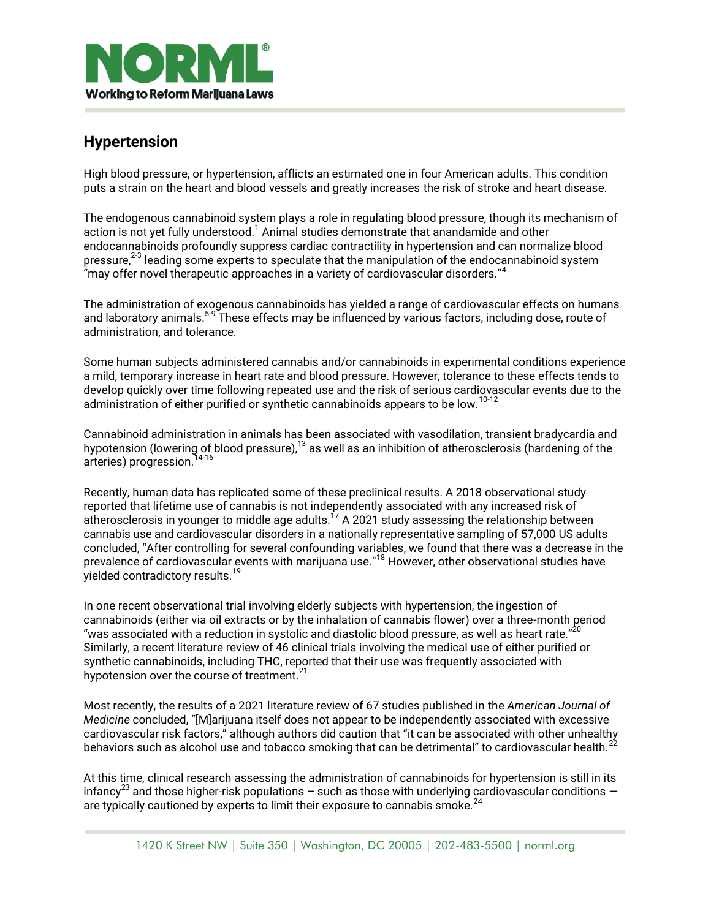

## **Hypertension**

High blood pressure, or hypertension, afflicts an estimated one in four American adults. This condition puts a strain on the heart and blood vessels and greatly increases the risk of stroke and heart disease.

The endogenous cannabinoid system plays a role in regulating blood pressure, though its mechanism of action is not yet fully understood.<sup>1</sup> Animal studies demonstrate that anandamide and other endocannabinoids profoundly suppress cardiac contractility in hypertension and can normalize blood pressure, $^{23}$  leading some experts to speculate that the manipulation of the endocannabinoid system "may offer novel therapeutic approaches in a variety of cardiovascular disorders."<sup>4</sup>

The administration of exogenous cannabinoids has yielded a range of cardiovascular effects on humans and laboratory animals.<sup>5-9</sup> These effects may be influenced by various factors, including dose, route of administration, and tolerance.

Some human subjects administered cannabis and/or cannabinoids in experimental conditions experience a mild, temporary increase in heart rate and blood pressure. However, tolerance to these effects tends to develop quickly over time following repeated use and the risk of serious cardiovascular events due to the administration of either purified or synthetic cannabinoids appears to be low.<sup>10-12</sup>

Cannabinoid administration in animals has been associated with vasodilation, transient bradycardia and hypotension (lowering of blood pressure), $^{13}$  as well as an inhibition of atherosclerosis (hardening of the arteries) progression. 14-16

Recently, human data has replicated some of these preclinical results. A 2018 observational study reported that lifetime use of cannabis is not independently associated with any increased risk of atherosclerosis in younger to middle age adults.<sup>17</sup> A 2021 study assessing the relationship between cannabis use and cardiovascular disorders in a nationally representative sampling of 57,000 US adults concluded, "After controlling for several confounding variables, we found that there was a decrease in the prevalence of cardiovascular events with marijuana use."<sup>18</sup> However, other observational studies have yielded contradictory results.<sup>19</sup>

In one recent observational trial involving elderly subjects with hypertension, the ingestion of cannabinoids (either via oil extracts or by the inhalation of cannabis flower) over a three-month period "was associated with a reduction in systolic and diastolic blood pressure, as well as heart rate." $^{20}$ Similarly, a recent literature review of 46 clinical trials involving the medical use of either purified or synthetic cannabinoids, including THC, reported that their use was frequently associated with hypotension over the course of treatment. $^{21}$ 

Most recently, the results of a 2021 literature review of 67 studies published in the *American Journal of Medicine* concluded, "[M]arijuana itself does not appear to be independently associated with excessive cardiovascular risk factors," although authors did caution that "it can be associated with other unhealthy behaviors such as alcohol use and tobacco smoking that can be detrimental" to cardiovascular health.<sup>2</sup>

At this time, clinical research assessing the administration of cannabinoids for hypertension is still in its infancy<sup>23</sup> and those higher-risk populations – such as those with underlying cardiovascular conditions – are typically cautioned by experts to limit their exposure to cannabis smoke.<sup>24</sup>